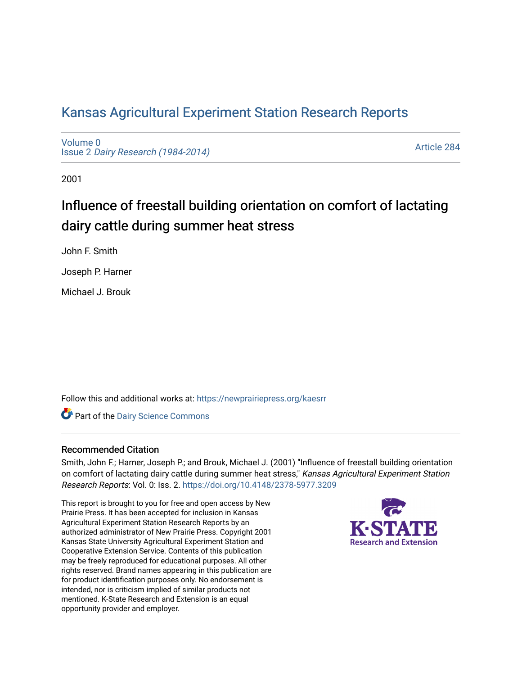## [Kansas Agricultural Experiment Station Research Reports](https://newprairiepress.org/kaesrr)

[Volume 0](https://newprairiepress.org/kaesrr/vol0) Issue 2 [Dairy Research \(1984-2014\)](https://newprairiepress.org/kaesrr/vol0/iss2) 

[Article 284](https://newprairiepress.org/kaesrr/vol0/iss2/284) 

2001

# Influence of freestall building orientation on comfort of lactating dairy cattle during summer heat stress

John F. Smith

Joseph P. Harner

Michael J. Brouk

Follow this and additional works at: [https://newprairiepress.org/kaesrr](https://newprairiepress.org/kaesrr?utm_source=newprairiepress.org%2Fkaesrr%2Fvol0%2Fiss2%2F284&utm_medium=PDF&utm_campaign=PDFCoverPages) 

Part of the [Dairy Science Commons](http://network.bepress.com/hgg/discipline/79?utm_source=newprairiepress.org%2Fkaesrr%2Fvol0%2Fiss2%2F284&utm_medium=PDF&utm_campaign=PDFCoverPages) 

#### Recommended Citation

Smith, John F.; Harner, Joseph P.; and Brouk, Michael J. (2001) "Influence of freestall building orientation on comfort of lactating dairy cattle during summer heat stress," Kansas Agricultural Experiment Station Research Reports: Vol. 0: Iss. 2.<https://doi.org/10.4148/2378-5977.3209>

This report is brought to you for free and open access by New Prairie Press. It has been accepted for inclusion in Kansas Agricultural Experiment Station Research Reports by an authorized administrator of New Prairie Press. Copyright 2001 Kansas State University Agricultural Experiment Station and Cooperative Extension Service. Contents of this publication may be freely reproduced for educational purposes. All other rights reserved. Brand names appearing in this publication are for product identification purposes only. No endorsement is intended, nor is criticism implied of similar products not mentioned. K-State Research and Extension is an equal opportunity provider and employer.

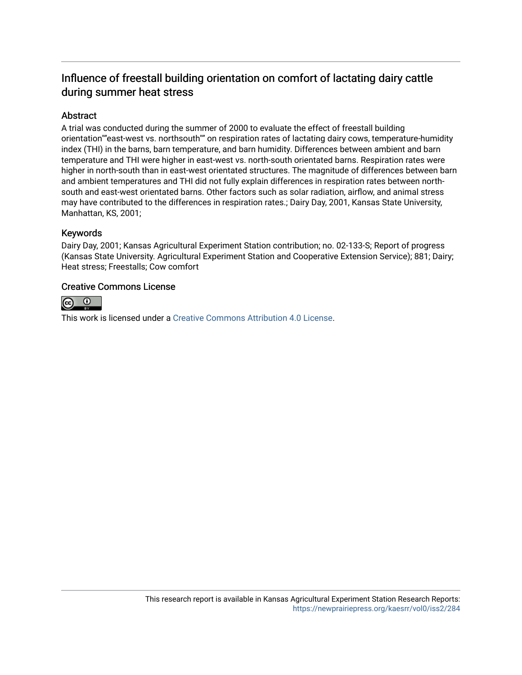### Influence of freestall building orientation on comfort of lactating dairy cattle during summer heat stress

#### Abstract

A trial was conducted during the summer of 2000 to evaluate the effect of freestall building orientation""east-west vs. northsouth"" on respiration rates of lactating dairy cows, temperature-humidity index (THI) in the barns, barn temperature, and barn humidity. Differences between ambient and barn temperature and THI were higher in east-west vs. north-south orientated barns. Respiration rates were higher in north-south than in east-west orientated structures. The magnitude of differences between barn and ambient temperatures and THI did not fully explain differences in respiration rates between northsouth and east-west orientated barns. Other factors such as solar radiation, airflow, and animal stress may have contributed to the differences in respiration rates.; Dairy Day, 2001, Kansas State University, Manhattan, KS, 2001;

#### Keywords

Dairy Day, 2001; Kansas Agricultural Experiment Station contribution; no. 02-133-S; Report of progress (Kansas State University. Agricultural Experiment Station and Cooperative Extension Service); 881; Dairy; Heat stress; Freestalls; Cow comfort

#### Creative Commons License



This work is licensed under a [Creative Commons Attribution 4.0 License](https://creativecommons.org/licenses/by/4.0/).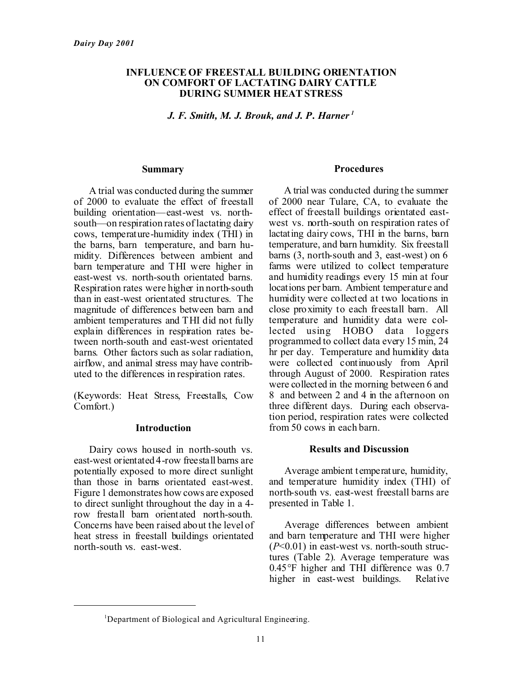#### **INFLUENCE OF FREESTALL BUILDING ORIENTATION ON COMFORT OF LACTATING DAIRY CATTLE DURING SUMMER HEAT STRESS**

*J. F. Smith, M. J. Brouk, and J. P. Harner <sup>1</sup>*

#### **Summary**

A trial was conducted during the summer of 2000 to evaluate the effect of freestall building orientation—east-west vs. northsouth—on respiration rates of lactating dairy cows, temperature-humidity index (THI) in the barns, barn temperature, and barn humidity. Differences between ambient and barn temperature and THI were higher in east-west vs. north-south orientated barns. Respiration rates were higher in north-south than in east-west orientated structures. The magnitude of differences between barn and ambient temperatures and THI did not fully explain differences in respiration rates between north-south and east-west orientated barns. Other factors such as solar radiation, airflow, and animal stress may have contributed to the differences in respiration rates.

(Keywords: Heat Stress, Freestalls, Cow Comfort.)

#### **Introduction**

Dairy cows housed in north-south vs. east-west orientated 4-row freestall barns are potentially exposed to more direct sunlight than those in barns orientated east-west. Figure 1 demonstrates how cows are exposed to direct sunlight throughout the day in a 4 row frestall barn orientated north-south. Concerns have been raised about the level of heat stress in freestall buildings orientated north-south vs. east-west.

#### **Procedures**

A trial was conducted during the summer of 2000 near Tulare, CA, to evaluate the effect of freestall buildings orientated eastwest vs. north-south on respiration rates of lactating dairy cows, THI in the barns, barn temperature, and barn humidity. Six freestall barns (3, north-south and 3, east-west) on 6 farms were utilized to collect temperature and humidity readings every 15 min at four locations per barn. Ambient temperature and humidity were collected at two locations in close proximity to each freestall barn. All temperature and humidity data were collected using HOBO data loggers programmed to collect data every 15 min, 24 hr per day. Temperature and humidity data were collected continuously from April through August of 2000. Respiration rates were collected in the morning between 6 and 8 and between 2 and 4 in the afternoon on three different days. During each observation period, respiration rates were collected from 50 cows in each barn.

#### **Results and Discussion**

Average ambient temperature, humidity, and temperature humidity index (THI) of north-south vs. east-west freestall barns are presented in Table 1.

Average differences between ambient and barn temperature and THI were higher (*P*<0.01) in east-west vs. north-south structures (Table 2). Average temperature was 0.45°F higher and THI difference was 0.7 higher in east-west buildings. Relative

<sup>&</sup>lt;sup>1</sup>Department of Biological and Agricultural Engineering.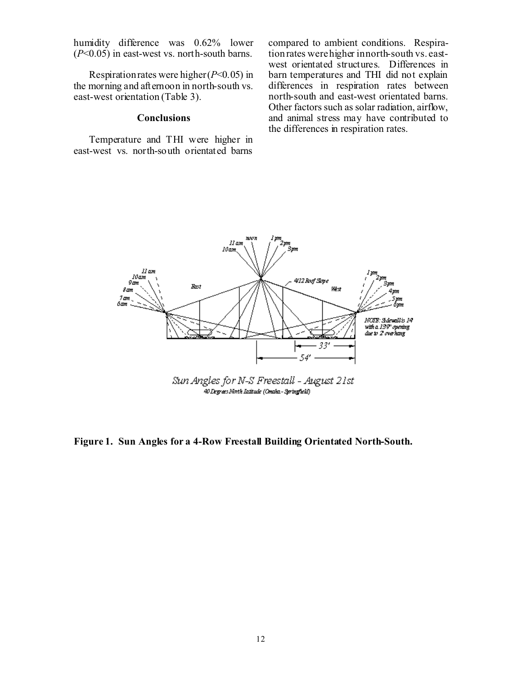humidity difference was 0.62% lower (*P*<0.05) in east-west vs. north-south barns.

Respiration rates were higher (*P*<0.05) in the morning and afternoon in north-south vs. east-west orientation (Table 3).

#### **Conclusions**

Temperature and THI were higher in east-west vs. north-south orientated barns compared to ambient conditions. Respiration rates were higher in north-south vs. eastwest orientated structures. Differences in barn temperatures and THI did not explain differences in respiration rates between north-south and east-west orientated barns. Other factors such as solar radiation, airflow, and animal stress may have contributed to the differences in respiration rates.



40 Degrees North Intitude (Omnha-Springfield)

**Figure 1. Sun Angles for a 4-Row Freestall Building Orientated North-South.**